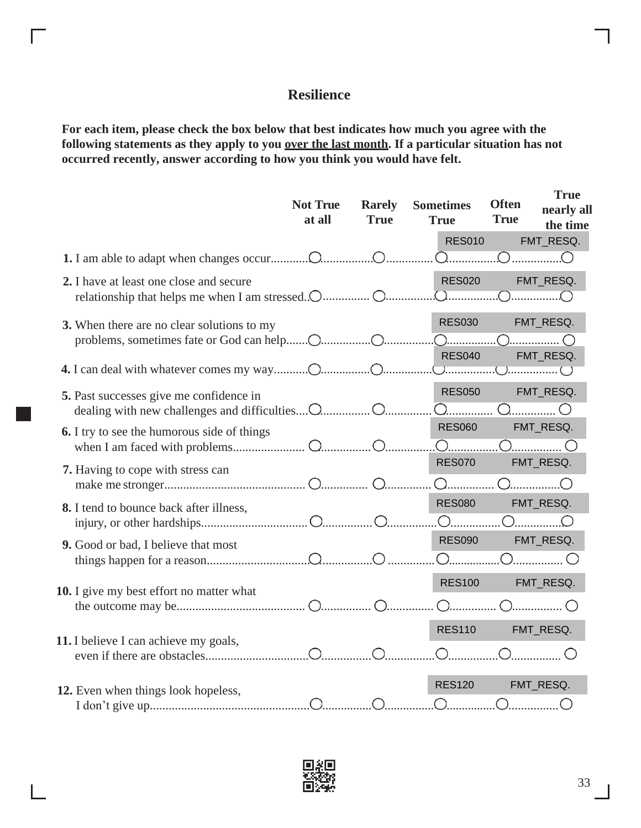## **Resilience**

**For each item, please check the box below that best indicates how much you agree with the following statements as they apply to you over the last month. If a particular situation has not occurred recently, answer according to how you think you would have felt.**

|                                                                                               | <b>Not True</b><br>at all | <b>Rarely</b><br><b>True</b> | <b>Sometimes</b><br><b>True</b><br><b>RES010</b> | <b>Often</b><br><b>True</b> | <b>True</b><br>nearly all<br>the time<br>FMT_RESQ.                |
|-----------------------------------------------------------------------------------------------|---------------------------|------------------------------|--------------------------------------------------|-----------------------------|-------------------------------------------------------------------|
|                                                                                               |                           |                              | <u>)</u>                                         |                             | $O$ <sub></sub> $O$                                               |
| 2. I have at least one close and secure<br>relationship that helps me when I am stressed. O O |                           |                              | <b>RES020</b><br>$\overline{\Omega}$             |                             | FMT_RESQ.<br>.OO.                                                 |
| 3. When there are no clear solutions to my                                                    |                           |                              | <b>RES030</b>                                    |                             | FMT_RESQ.                                                         |
|                                                                                               |                           |                              | <b>RES040</b>                                    |                             | FMT_RESQ.                                                         |
| 5. Past successes give me confidence in                                                       |                           |                              | <b>RES050</b><br><u> ೧</u>                       |                             | FMT_RESQ.<br>OO                                                   |
| <b>6.</b> I try to see the humorous side of things                                            |                           |                              | <b>RES060</b>                                    |                             | FMT_RESQ.                                                         |
| 7. Having to cope with stress can                                                             |                           |                              | <b>RES070</b><br>$\bigcap$                       |                             | FMT_RESQ.                                                         |
| 8. I tend to bounce back after illness,                                                       |                           |                              | <b>RES080</b><br>$\bigcirc$ <sub></sub>          |                             | FMT_RESQ.                                                         |
| 9. Good or bad, I believe that most                                                           |                           |                              | <b>RES090</b>                                    |                             | FMT_RESQ.<br>.O O                                                 |
| 10. I give my best effort no matter what                                                      |                           |                              | <b>RES100</b>                                    |                             | FMT_RESQ.<br>$\left( \begin{array}{c} 0 \\ 0 \end{array} \right)$ |
| 11. I believe I can achieve my goals,                                                         |                           |                              | <b>RES110</b>                                    |                             | FMT_RESQ.                                                         |
| 12. Even when things look hopeless,                                                           |                           |                              | <b>RES120</b>                                    |                             | FMT_RESQ.                                                         |